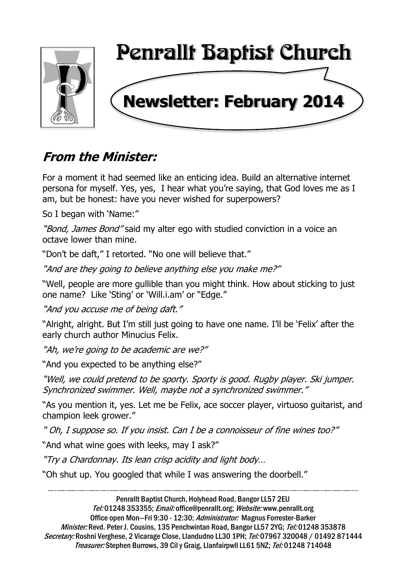

# **From the Minister:**

For a moment it had seemed like an enticing idea. Build an alternative internet persona for myself. Yes, yes, I hear what you're saying, that God loves me as I am, but be honest: have you never wished for superpowers?

So I began with 'Name:"

"Bond, James Bond" said my alter ego with studied conviction in a voice an octave lower than mine.

"Don't be daft," I retorted. "No one will believe that."

"And are they going to believe anything else you make me?"

"Well, people are more gullible than you might think. How about sticking to just one name? Like 'Sting' or 'Will.i.am' or "Edge."

"And you accuse me of being daft."

"Alright, alright. But I'm still just going to have one name. I'll be 'Felix' after the early church author Minucius Felix.

"Ah, we're going to be academic are we?"

"And you expected to be anything else?"

"Well, we could pretend to be sporty. Sporty is good. Rugby player. Ski jumper. Synchronized swimmer. Well, maybe not a synchronized swimmer."

"As you mention it, yes. Let me be Felix, ace soccer player, virtuoso guitarist, and champion leek grower."

" Oh, I suppose so. If you insist. Can I be a connoisseur of fine wines too?"

"And what wine goes with leeks, may I ask?"

"Try a Chardonnay. Its lean crisp acidity and light body…

"Oh shut up. You googled that while I was answering the doorbell."

Penrallt Baptist Church, Holyhead Road, Bangor LL57 2EU Tel: 01248 353355; Email: office@penrallt.org; Website: www.penrallt.org Office open Mon-Fri 9:30 - 12:30; Administrator: Magnus Forrester-Barker Minister: Revd. Peter J. Cousins, 135 Penchwintan Road, Bangor LL57 2YG; Tel: 01248 353878 Secretary: Roshni Verghese, 2 Vicarage Close, Llandudno LL30 1PH; Tel: 07967 320048 / 01492 871444 Treasurer: Stephen Burrows, 39 Cil y Graig, Llanfairpwll LL61 5NZ; Tel: 01248 714048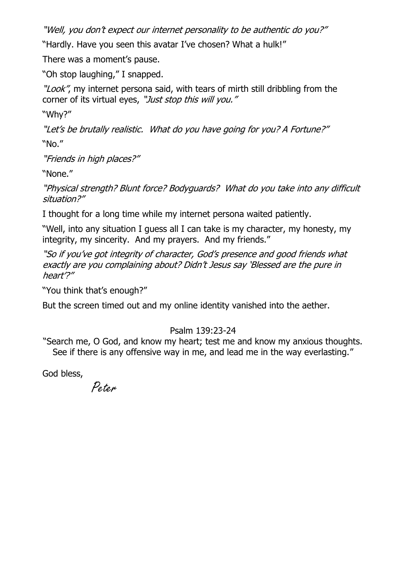"Well, you don't expect our internet personality to be authentic do you?"

"Hardly. Have you seen this avatar I've chosen? What a hulk!"

There was a moment's pause.

"Oh stop laughing," I snapped.

"Look", my internet persona said, with tears of mirth still dribbling from the corner of its virtual eyes, "Just stop this will you."

"Why?"

"Let's be brutally realistic. What do you have going for you? A Fortune?" "No."

"Friends in high places?"

"None."

"Physical strength? Blunt force? Bodyguards? What do you take into any difficult situation?"

I thought for a long time while my internet persona waited patiently.

"Well, into any situation I guess all I can take is my character, my honesty, my integrity, my sincerity. And my prayers. And my friends."

"So if you've got integrity of character, God's presence and good friends what exactly are you complaining about? Didn't Jesus say 'Blessed are the pure in heart'?"

"You think that's enough?"

But the screen timed out and my online identity vanished into the aether.

## Psalm 139:23-24

"Search me, O God, and know my heart; test me and know my anxious thoughts. See if there is any offensive way in me, and lead me in the way everlasting."

God bless,

Peter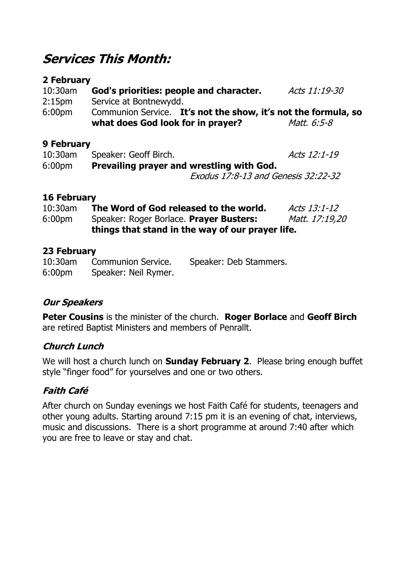## **Services This Month:**

### **2 February**

| 10:30am                                                                                                                                                                                                                                                                                                                                                                           | God's priorities: people and character.                        | Acts 11:19-30 |  |  |
|-----------------------------------------------------------------------------------------------------------------------------------------------------------------------------------------------------------------------------------------------------------------------------------------------------------------------------------------------------------------------------------|----------------------------------------------------------------|---------------|--|--|
| 2:15 <sub>pm</sub>                                                                                                                                                                                                                                                                                                                                                                | Service at Bontnewydd.                                         |               |  |  |
| 6:00 <sub>pm</sub>                                                                                                                                                                                                                                                                                                                                                                | Communion Service. It's not the show, it's not the formula, so |               |  |  |
|                                                                                                                                                                                                                                                                                                                                                                                   | what does God look for in prayer?                              | Matt. 6:5-8   |  |  |
| $\bigcap$ $\bigcap$ $\bigcap$ $\bigcap$ $\bigcap$ $\bigcap$ $\bigcap$ $\bigcap$ $\bigcap$ $\bigcap$ $\bigcap$ $\bigcap$ $\bigcap$ $\bigcap$ $\bigcap$ $\bigcap$ $\bigcap$ $\bigcap$ $\bigcap$ $\bigcap$ $\bigcap$ $\bigcap$ $\bigcap$ $\bigcap$ $\bigcap$ $\bigcap$ $\bigcap$ $\bigcap$ $\bigcap$ $\bigcap$ $\bigcap$ $\bigcap$ $\bigcap$ $\bigcap$ $\bigcap$ $\bigcap$ $\bigcap$ |                                                                |               |  |  |

### **9 February**

| $10:30$ am | Speaker: Geoff Birch.                            | Acts 12:1-19                        |
|------------|--------------------------------------------------|-------------------------------------|
| $6:00$ pm  | <b>Prevailing prayer and wrestling with God.</b> |                                     |
|            |                                                  | Exodus 17:8-13 and Genesis 32:22-32 |

### **16 February**

| $10:30$ am         | The Word of God released to the world.           | Acts 13:1-12   |  |
|--------------------|--------------------------------------------------|----------------|--|
| 6:00 <sub>pm</sub> | Speaker: Roger Borlace. Prayer Busters:          | Matt. 17:19,20 |  |
|                    | things that stand in the way of our prayer life. |                |  |

### **23 February**

10:30am Communion Service. Speaker: Deb Stammers. 6:00pm Speaker: Neil Rymer.

## **Our Speakers**

**Peter Cousins** is the minister of the church. **Roger Borlace** and **Geoff Birch** are retired Baptist Ministers and members of Penrallt.

## **Church Lunch**

We will host a church lunch on **Sunday February 2**. Please bring enough buffet style "finger food" for yourselves and one or two others.

## **Faith Café**

After church on Sunday evenings we host Faith Café for students, teenagers and other young adults. Starting around 7:15 pm it is an evening of chat, interviews, music and discussions. There is a short programme at around 7:40 after which you are free to leave or stay and chat.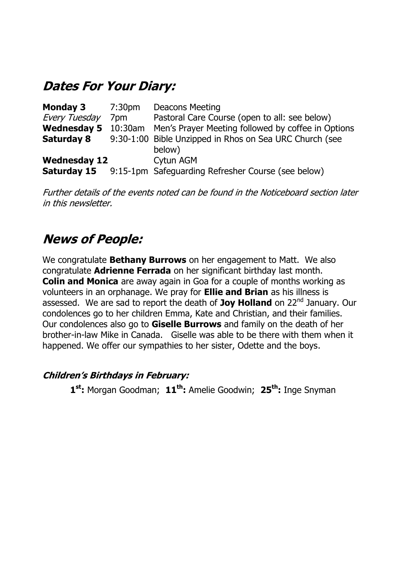## **Dates For Your Diary:**

| <b>Deacons Meeting</b>                                      |
|-------------------------------------------------------------|
| Pastoral Care Course (open to all: see below)               |
| Men's Prayer Meeting followed by coffee in Options          |
| 9:30-1:00 Bible Unzipped in Rhos on Sea URC Church (see     |
| below)                                                      |
| Cytun AGM                                                   |
| 9:15-1pm Safeguarding Refresher Course (see below)          |
| 7:30pm<br>7pm<br>Wednesday 5 10:30am<br><b>Wednesday 12</b> |

Further details of the events noted can be found in the Noticeboard section later in this newsletter.

## **News of People:**

We congratulate **Bethany Burrows** on her engagement to Matt. We also congratulate **Adrienne Ferrada** on her significant birthday last month. **Colin and Monica** are away again in Goa for a couple of months working as volunteers in an orphanage. We pray for **Ellie and Brian** as his illness is assessed. We are sad to report the death of **Joy Holland** on 22nd January. Our condolences go to her children Emma, Kate and Christian, and their families. Our condolences also go to **Giselle Burrows** and family on the death of her brother-in-law Mike in Canada. Giselle was able to be there with them when it happened. We offer our sympathies to her sister, Odette and the boys.

### **Children's Birthdays in February:**

**1 st:** Morgan Goodman; **11 th:** Amelie Goodwin; **25th:** Inge Snyman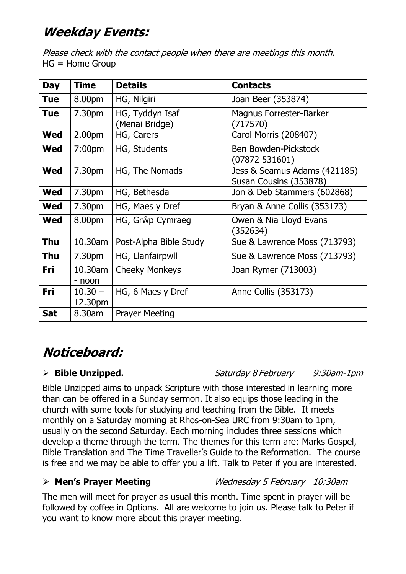# **Weekday Events:**

Please check with the contact people when there are meetings this month. HG = Home Group

| <b>Day</b> | <b>Time</b>          | <b>Details</b>                    | <b>Contacts</b>                                        |
|------------|----------------------|-----------------------------------|--------------------------------------------------------|
| <b>Tue</b> | 8.00pm               | HG, Nilgiri                       | Joan Beer (353874)                                     |
| <b>Tue</b> | 7.30pm               | HG, Tyddyn Isaf<br>(Menai Bridge) | Magnus Forrester-Barker<br>(717570)                    |
| <b>Wed</b> | 2.00pm               | HG, Carers                        | Carol Morris (208407)                                  |
| <b>Wed</b> | 7:00 <sub>pm</sub>   | HG, Students                      | Ben Bowden-Pickstock<br>(07872531601)                  |
| <b>Wed</b> | 7.30pm               | HG, The Nomads                    | Jess & Seamus Adams (421185)<br>Susan Cousins (353878) |
| <b>Wed</b> | 7.30pm               | HG, Bethesda                      | Jon & Deb Stammers (602868)                            |
| <b>Wed</b> | 7.30pm               | HG, Maes y Dref                   | Bryan & Anne Collis (353173)                           |
| <b>Wed</b> | 8.00pm               | HG, Grŵp Cymraeg                  | Owen & Nia Lloyd Evans<br>(352634)                     |
| <b>Thu</b> | 10.30am              | Post-Alpha Bible Study            | Sue & Lawrence Moss (713793)                           |
| <b>Thu</b> | 7.30pm               | HG, Llanfairpwll                  | Sue & Lawrence Moss (713793)                           |
| <b>Fri</b> | 10.30am<br>- noon    | <b>Cheeky Monkeys</b>             | Joan Rymer (713003)                                    |
| <b>Fri</b> | $10.30 -$<br>12.30pm | HG, 6 Maes y Dref                 | Anne Collis (353173)                                   |
| <b>Sat</b> | 8.30am               | <b>Prayer Meeting</b>             |                                                        |

# **Noticeboard:**

**Bible Unzipped.** Saturday 8 February 9:30am-1pm

Bible Unzipped aims to unpack Scripture with those interested in learning more than can be offered in a Sunday sermon. It also equips those leading in the church with some tools for studying and teaching from the Bible. It meets monthly on a Saturday morning at Rhos-on-Sea URC from 9:30am to 1pm, usually on the second Saturday. Each morning includes three sessions which develop a theme through the term. The themes for this term are: Marks Gospel, Bible Translation and The Time Traveller's Guide to the Reformation. The course is free and we may be able to offer you a lift. Talk to Peter if you are interested.

## **Men's Prayer Meeting** Wednesday 5 February 10:30am

The men will meet for prayer as usual this month. Time spent in prayer will be followed by coffee in Options. All are welcome to join us. Please talk to Peter if you want to know more about this prayer meeting.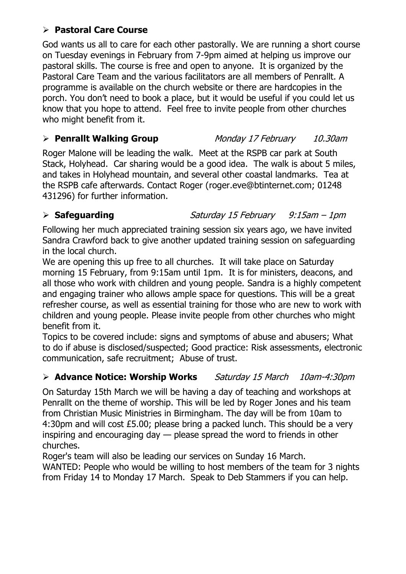### **Pastoral Care Course**

God wants us all to care for each other pastorally. We are running a short course on Tuesday evenings in February from 7-9pm aimed at helping us improve our pastoral skills. The course is free and open to anyone. It is organized by the Pastoral Care Team and the various facilitators are all members of Penrallt. A programme is available on the church website or there are hardcopies in the porch. You don't need to book a place, but it would be useful if you could let us know that you hope to attend. Feel free to invite people from other churches who might benefit from it.

**Penrallt Walking Group** Monday 17 February 10.30am

Roger Malone will be leading the walk. Meet at the RSPB car park at South Stack, Holyhead. Car sharing would be a good idea. The walk is about 5 miles, and takes in Holyhead mountain, and several other coastal landmarks. Tea at the RSPB cafe afterwards. Contact Roger (roger.eve@btinternet.com; 01248 431296) for further information.

**Safeguarding** Saturday 15 February 9:15am – 1pm

Following her much appreciated training session six years ago, we have invited Sandra Crawford back to give another updated training session on safeguarding in the local church.

We are opening this up free to all churches. It will take place on Saturday morning 15 February, from 9:15am until 1pm. It is for ministers, deacons, and all those who work with children and young people. Sandra is a highly competent and engaging trainer who allows ample space for questions. This will be a great refresher course, as well as essential training for those who are new to work with children and young people. Please invite people from other churches who might benefit from it.

Topics to be covered include: signs and symptoms of abuse and abusers; What to do if abuse is disclosed/suspected; Good practice: Risk assessments, electronic communication, safe recruitment; Abuse of trust.

## **Advance Notice: Worship Works** Saturday 15 March 10am-4:30pm

On Saturday 15th March we will be having a day of teaching and workshops at Penrallt on the theme of worship. This will be led by Roger Jones and his team from Christian Music Ministries in Birmingham. The day will be from 10am to 4:30pm and will cost £5.00; please bring a packed lunch. This should be a very inspiring and encouraging day — please spread the word to friends in other churches.

Roger's team will also be leading our services on Sunday 16 March.

WANTED: People who would be willing to host members of the team for 3 nights from Friday 14 to Monday 17 March. Speak to Deb Stammers if you can help.